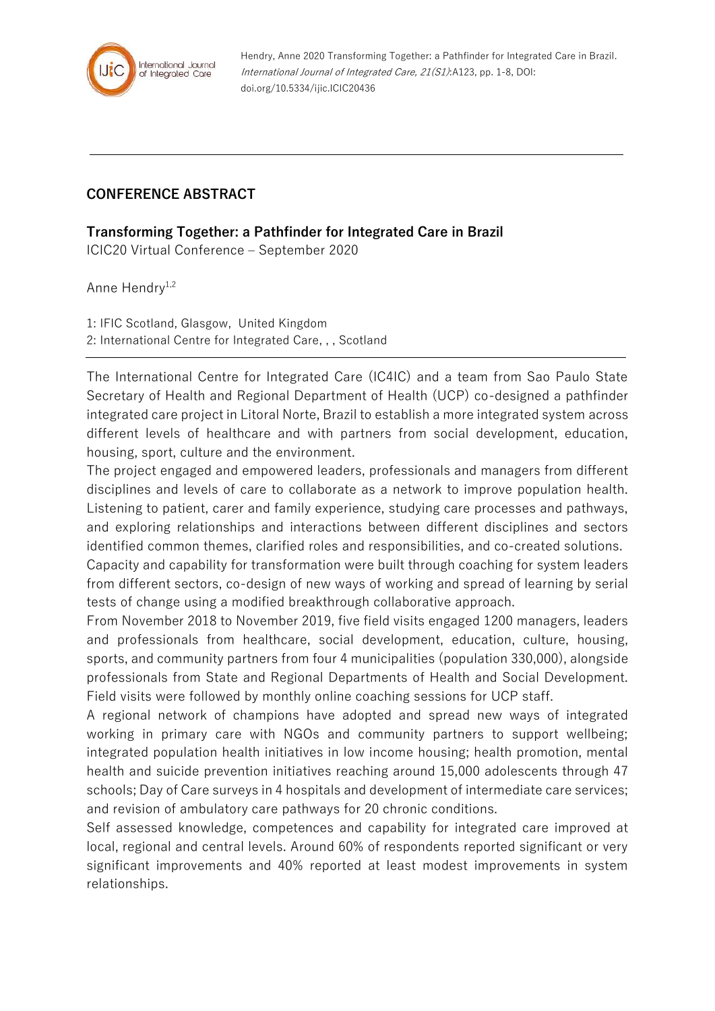

Hendry, Anne 2020 Transforming Together: a Pathfinder for Integrated Care in Brazil. International Journal of Integrated Care, 21(S1):A123, pp. 1-8, DOI: doi.org/10.5334/ijic.ICIC20436

## **CONFERENCE ABSTRACT**

**Transforming Together: a Pathfinder for Integrated Care in Brazil**

ICIC20 Virtual Conference – September 2020

Anne Hendry<sup>1,2</sup>

1: IFIC Scotland, Glasgow, United Kingdom 2: International Centre for Integrated Care, , , Scotland

The International Centre for Integrated Care (IC4IC) and a team from Sao Paulo State Secretary of Health and Regional Department of Health (UCP) co-designed a pathfinder integrated care project in Litoral Norte, Brazil to establish a more integrated system across different levels of healthcare and with partners from social development, education, housing, sport, culture and the environment.

The project engaged and empowered leaders, professionals and managers from different disciplines and levels of care to collaborate as a network to improve population health. Listening to patient, carer and family experience, studying care processes and pathways, and exploring relationships and interactions between different disciplines and sectors identified common themes, clarified roles and responsibilities, and co-created solutions.

Capacity and capability for transformation were built through coaching for system leaders from different sectors, co-design of new ways of working and spread of learning by serial tests of change using a modified breakthrough collaborative approach.

From November 2018 to November 2019, five field visits engaged 1200 managers, leaders and professionals from healthcare, social development, education, culture, housing, sports, and community partners from four 4 municipalities (population 330,000), alongside professionals from State and Regional Departments of Health and Social Development. Field visits were followed by monthly online coaching sessions for UCP staff.

A regional network of champions have adopted and spread new ways of integrated working in primary care with NGOs and community partners to support wellbeing; integrated population health initiatives in low income housing; health promotion, mental health and suicide prevention initiatives reaching around 15,000 adolescents through 47 schools; Day of Care surveys in 4 hospitals and development of intermediate care services; and revision of ambulatory care pathways for 20 chronic conditions.

Self assessed knowledge, competences and capability for integrated care improved at local, regional and central levels. Around 60% of respondents reported significant or very significant improvements and 40% reported at least modest improvements in system relationships.